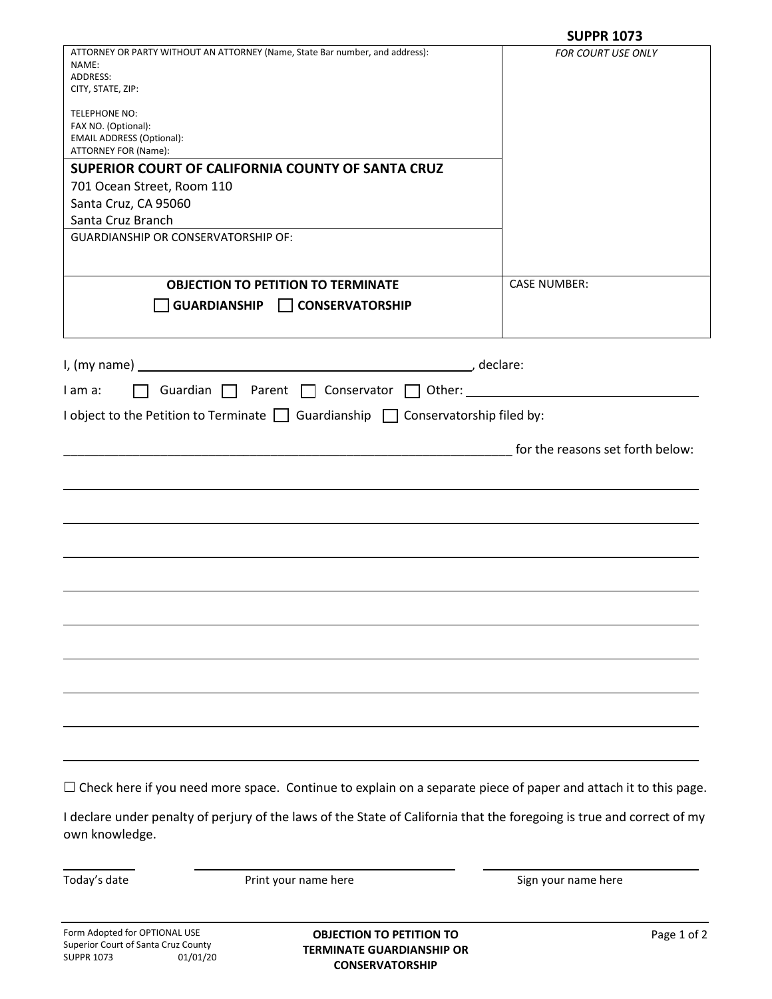|                                                                                                                                      | <b>SUPPR 1073</b>                                 |
|--------------------------------------------------------------------------------------------------------------------------------------|---------------------------------------------------|
| ATTORNEY OR PARTY WITHOUT AN ATTORNEY (Name, State Bar number, and address):                                                         | FOR COURT USE ONLY                                |
| NAME:                                                                                                                                |                                                   |
| ADDRESS:                                                                                                                             |                                                   |
| CITY, STATE, ZIP:                                                                                                                    |                                                   |
| <b>TELEPHONE NO:</b>                                                                                                                 |                                                   |
| FAX NO. (Optional):                                                                                                                  |                                                   |
| <b>EMAIL ADDRESS (Optional):</b>                                                                                                     |                                                   |
| ATTORNEY FOR (Name):                                                                                                                 |                                                   |
| SUPERIOR COURT OF CALIFORNIA COUNTY OF SANTA CRUZ                                                                                    |                                                   |
| 701 Ocean Street, Room 110                                                                                                           |                                                   |
| Santa Cruz, CA 95060                                                                                                                 |                                                   |
| Santa Cruz Branch                                                                                                                    |                                                   |
| <b>GUARDIANSHIP OR CONSERVATORSHIP OF:</b>                                                                                           |                                                   |
|                                                                                                                                      |                                                   |
|                                                                                                                                      |                                                   |
|                                                                                                                                      |                                                   |
| <b>OBJECTION TO PETITION TO TERMINATE</b>                                                                                            | <b>CASE NUMBER:</b>                               |
| $\Box$ CONSERVATORSHIP<br><b>GUARDIANSHIP</b>                                                                                        |                                                   |
|                                                                                                                                      |                                                   |
|                                                                                                                                      |                                                   |
|                                                                                                                                      |                                                   |
| I, (my name)<br><u> 1989 - Johann Stoff, deutscher Stoffen und der Stoffen und der Stoffen und der Stoffen und der Stoffen und d</u> | declare:                                          |
| Guardian $\Box$ Parent $\Box$ Conservator $\Box$ Other:<br>I am a:                                                                   |                                                   |
|                                                                                                                                      | <u> 1989 - Andrea Britain, politik e</u> ta eta p |
| I object to the Petition to Terminate $\Box$ Guardianship $\Box$ Conservatorship filed by:                                           |                                                   |
|                                                                                                                                      |                                                   |
|                                                                                                                                      | for the reasons set forth below:                  |
|                                                                                                                                      |                                                   |
|                                                                                                                                      |                                                   |
|                                                                                                                                      |                                                   |
|                                                                                                                                      |                                                   |
|                                                                                                                                      |                                                   |
|                                                                                                                                      |                                                   |
|                                                                                                                                      |                                                   |
|                                                                                                                                      |                                                   |
|                                                                                                                                      |                                                   |
|                                                                                                                                      |                                                   |
|                                                                                                                                      |                                                   |
|                                                                                                                                      |                                                   |
|                                                                                                                                      |                                                   |
|                                                                                                                                      |                                                   |
|                                                                                                                                      |                                                   |
|                                                                                                                                      |                                                   |
|                                                                                                                                      |                                                   |
|                                                                                                                                      |                                                   |
|                                                                                                                                      |                                                   |
|                                                                                                                                      |                                                   |

 $\Box$  Check here if you need more space. Continue to explain on a separate piece of paper and attach it to this page.

I declare under penalty of perjury of the laws of the State of California that the foregoing is true and correct of my own knowledge.

Today's date **Print your name here Print your name here** Sign your name here